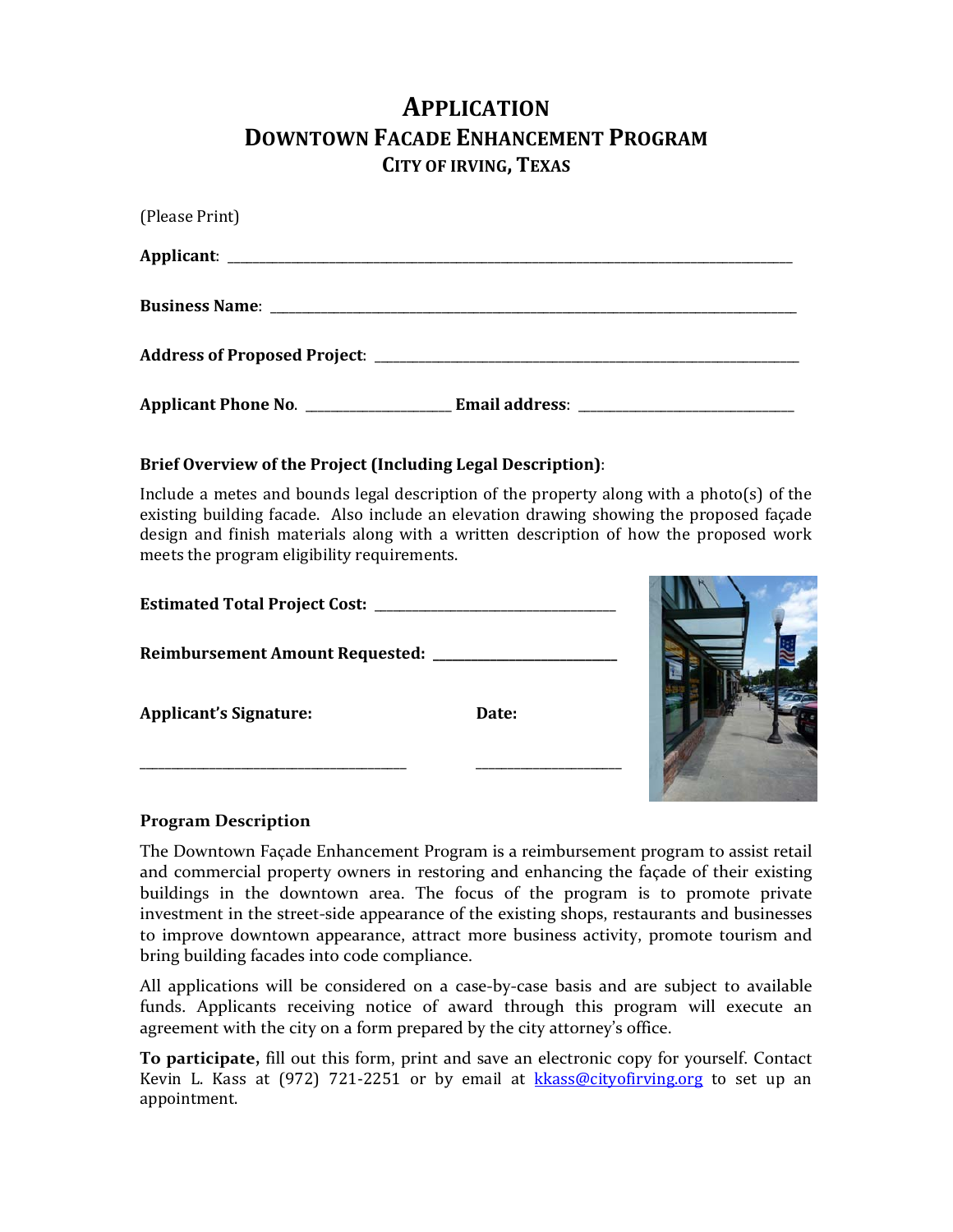# **APPLICATION DOWNTOWN FACADE ENHANCEMENT PROGRAM CITY OF IRVING, TEXAS**

| (Please Print) |  |
|----------------|--|
|                |  |
|                |  |
|                |  |
|                |  |

# **Brief Overview of the Project (Including Legal Description)**:

Include a metes and bounds legal description of the property along with a photo(s) of the existing building facade. Also include an elevation drawing showing the proposed facade design and finish materials along with a written description of how the proposed work meets the program eligibility requirements.

INK

| <b>Estimated Total Project Cost:</b> |       |  |
|--------------------------------------|-------|--|
| Reimbursement Amount Requested: ____ |       |  |
| <b>Applicant's Signature:</b>        | Date: |  |
|                                      |       |  |

# **Program Description**

The Downtown Façade Enhancement Program is a reimbursement program to assist retail and commercial property owners in restoring and enhancing the façade of their existing buildings in the downtown area. The focus of the program is to promote private investment in the street-side appearance of the existing shops, restaurants and businesses to improve downtown appearance, attract more business activity, promote tourism and bring building facades into code compliance.

All applications will be considered on a case‐by‐case basis and are subject to available funds. Applicants receiving notice of award through this program will execute an agreement with the city on a form prepared by the city attorney's office.

**To participate,** fill out this form, print and save an electronic copy for yourself. Contact Kevin L. Kass at  $(972)$  721-2251 or by email at kkass@cityofirving.org to set up an appointment.